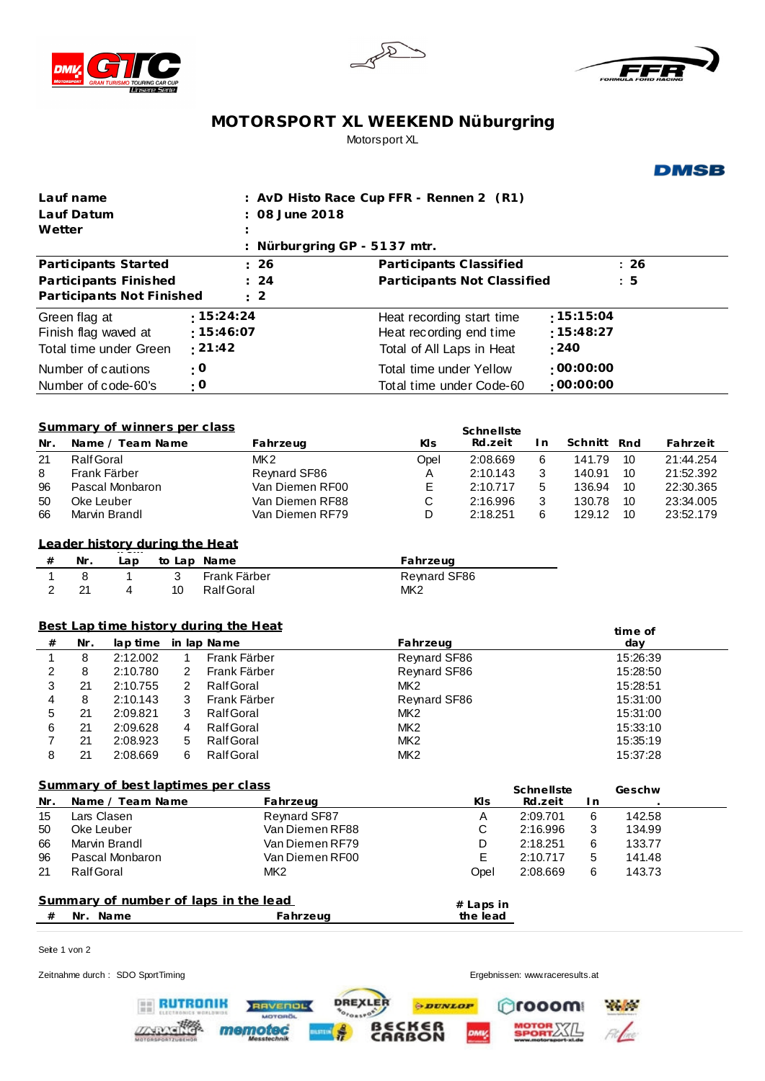





## **MOTORSPORT XL WEEKEND Nüburgring** Motorsport XL

**DMSB** 

| Lauf name                                                           |                                                                   |                     |                |                       | : AvD Histo Race Cup FFR - Rennen 2 (R1) |                                        |                      |                       |                  |          |                        |
|---------------------------------------------------------------------|-------------------------------------------------------------------|---------------------|----------------|-----------------------|------------------------------------------|----------------------------------------|----------------------|-----------------------|------------------|----------|------------------------|
| Lauf Datum                                                          |                                                                   |                     |                |                       | 08 June 2018                             |                                        |                      |                       |                  |          |                        |
| Wetter                                                              |                                                                   |                     |                |                       |                                          |                                        |                      |                       |                  |          |                        |
| Nürburgring GP - 5137 mtr.                                          |                                                                   |                     |                |                       |                                          |                                        |                      |                       |                  |          |                        |
| Participants Started<br>: 26                                        |                                                                   |                     |                |                       |                                          | Participants Classified                |                      |                       |                  | : 26     |                        |
| : 24<br>Participants Finished<br>Participants Not Finished          |                                                                   |                     |                |                       |                                          | Participants Not Classified            |                      |                       |                  | : 5      |                        |
|                                                                     |                                                                   |                     |                |                       | $\therefore$ 2                           |                                        |                      |                       |                  |          |                        |
| : 15:24:24<br>Green flag at                                         |                                                                   |                     |                |                       |                                          | :15:15:04<br>Heat recording start time |                      |                       |                  |          |                        |
| Finish flag waved at                                                |                                                                   |                     |                | : 15:46:07<br>: 21:42 |                                          | Heat recording end time                |                      |                       | :15:48:27        |          |                        |
| Total time under Green                                              |                                                                   |                     |                |                       |                                          | Total of All Laps in Heat              |                      |                       | : 240            |          |                        |
| Number of cautions                                                  |                                                                   |                     |                | $\cdot$ O             |                                          | Total time under Yellow                |                      |                       | :00:00:00        |          |                        |
|                                                                     |                                                                   | Number of code-60's |                | $\cdot$ O             |                                          | Total time under Code-60               |                      |                       | :00:00:00        |          |                        |
|                                                                     |                                                                   |                     |                |                       |                                          |                                        |                      |                       |                  |          |                        |
| Summary of winners per class<br>Schnellste                          |                                                                   |                     |                |                       |                                          |                                        |                      |                       |                  |          |                        |
| Nr.                                                                 |                                                                   | Name / Team Name    |                |                       | Fahrzeug                                 | KIs                                    | Rd.zeit              | I n                   | Schnitt Rnd      |          | Fahrzeit               |
| 21                                                                  | Ralf Goral                                                        |                     |                |                       | MK <sub>2</sub>                          | Opel                                   | 2:08.669             | 6                     | 141.79           | 10       | 21:44.254              |
| 8                                                                   |                                                                   | Frank Färber        |                |                       | Reynard SF86                             | Α                                      | 2:10.143             | 3                     | 140.91           | 10       | 21:52.392              |
| 96<br>50                                                            | Oke Leuber                                                        | Pascal Monbaron     |                |                       | Van Diemen RF00<br>Van Diemen RF88       | Е<br>$\mathsf C$                       | 2:10.717<br>2:16.996 | 5<br>3                | 136.94<br>130.78 | 10<br>10 | 22:30.365<br>23:34.005 |
| 66                                                                  |                                                                   | Marvin Brandl       |                |                       | Van Diemen RF79                          | D                                      | 2:18.251             | 6                     | 129.12           | 10       | 23:52.179              |
|                                                                     |                                                                   |                     |                |                       |                                          |                                        |                      |                       |                  |          |                        |
| Leader history during the Heat                                      |                                                                   |                     |                |                       |                                          |                                        |                      |                       |                  |          |                        |
| $\#$                                                                | Nr.<br>to Lap Name<br>Lap                                         |                     |                |                       |                                          | Fahrzeug                               |                      |                       |                  |          |                        |
| $\mathbf{1}$                                                        | $\mathbf{3}$<br>8<br>Frank Färber<br>1                            |                     |                |                       | <b>Reynard SF86</b>                      |                                        |                      |                       |                  |          |                        |
| 2                                                                   | 21                                                                | 4                   | 10             | <b>Ralf Goral</b>     |                                          | MK <sub>2</sub>                        |                      |                       |                  |          |                        |
|                                                                     |                                                                   |                     |                |                       |                                          |                                        |                      |                       |                  |          |                        |
| Best Lap time history during the Heat                               |                                                                   |                     |                |                       |                                          |                                        |                      |                       |                  | time of  |                        |
| $\#$                                                                | Nr.<br>lap time in lap Name<br>8<br>Frank Färber<br>2:12.002<br>1 |                     |                |                       | Fahrzeug<br>Reynard SF86                 |                                        |                      |                       | day<br>15:26:39  |          |                        |
| 1<br>2                                                              | 8                                                                 | 2:10.780            | 2              | Frank Färber          |                                          | Reynard SF86                           |                      |                       |                  | 15:28:50 |                        |
| 3                                                                   | 21                                                                | 2:10.755            | $\overline{c}$ | <b>Ralf Goral</b>     |                                          | MK <sub>2</sub>                        |                      |                       |                  | 15:28:51 |                        |
| 4                                                                   | 8                                                                 | 2:10.143            | 3              | Frank Färber          |                                          | Reynard SF86                           |                      |                       |                  | 15:31:00 |                        |
| 5                                                                   | 21                                                                | 2:09.821            | 3              | <b>Ralf Goral</b>     |                                          | MK <sub>2</sub>                        |                      |                       |                  | 15:31:00 |                        |
| 6                                                                   | 21                                                                | 2:09.628            | 4              | <b>Ralf Goral</b>     |                                          | MK <sub>2</sub>                        |                      |                       |                  | 15:33:10 |                        |
| 7                                                                   | 21                                                                | 2:08.923            | 5              | <b>Ralf Goral</b>     |                                          | MK <sub>2</sub>                        |                      |                       |                  | 15:35:19 |                        |
| 8                                                                   | 21                                                                | 2:08.669            | 6              | <b>Ralf Goral</b>     |                                          | MK <sub>2</sub>                        |                      |                       |                  | 15:37:28 |                        |
| Summary of best laptimes per class                                  |                                                                   |                     |                |                       |                                          |                                        |                      |                       |                  |          |                        |
| Name / Team Name<br>Nr.<br>Fahrzeug                                 |                                                                   |                     |                |                       |                                          |                                        | KIs.                 | Schnellste<br>Rd.zeit | I n              | Geschw   |                        |
| 15                                                                  | Lars Clasen                                                       |                     |                |                       | Reynard SF87                             |                                        | Α                    | 2:09.701              | 6                | 142.58   |                        |
| 50                                                                  | Oke Leuber                                                        |                     |                |                       | Van Diemen RF88                          | $\mathsf C$                            |                      | 2:16.996              | 3                | 134.99   |                        |
| 66                                                                  | Marvin Brandl                                                     |                     |                |                       | Van Diemen RF79                          |                                        | D                    | 2:18.251              | 6                | 133.77   |                        |
| 96                                                                  |                                                                   | Pascal Monbaron     |                |                       | Van Diemen RF00                          |                                        | E                    | 2:10.717              | 5                | 141.48   |                        |
| 21                                                                  | Ralf Goral                                                        |                     |                |                       | MK <sub>2</sub>                          |                                        | Opel                 | 2:08.669              | 6                | 143.73   |                        |
| Summary of number of laps in the lead                               |                                                                   |                     |                |                       |                                          |                                        |                      |                       |                  |          |                        |
| Nr. Name<br>#                                                       |                                                                   |                     |                |                       | Fahrzeug                                 | # Laps in<br>the lead                  |                      |                       |                  |          |                        |
|                                                                     |                                                                   |                     |                |                       |                                          |                                        |                      |                       |                  |          |                        |
| Seite 1 von 2                                                       |                                                                   |                     |                |                       |                                          |                                        |                      |                       |                  |          |                        |
|                                                                     |                                                                   |                     |                |                       |                                          |                                        |                      |                       |                  |          |                        |
| Zeitnahme durch: SDO SportTiming<br>Ergebnissen: www.raceresults.at |                                                                   |                     |                |                       |                                          |                                        |                      |                       |                  |          |                        |

DREXLER

 $\frac{1}{2}$ 

RAVENOL

memotec

 $\oplus$ DUNLOP

**BECKER** 

Crooom W

MOTOR XXIL

 $F$ 

**RUTRONIK** 

**ZNOVERS**